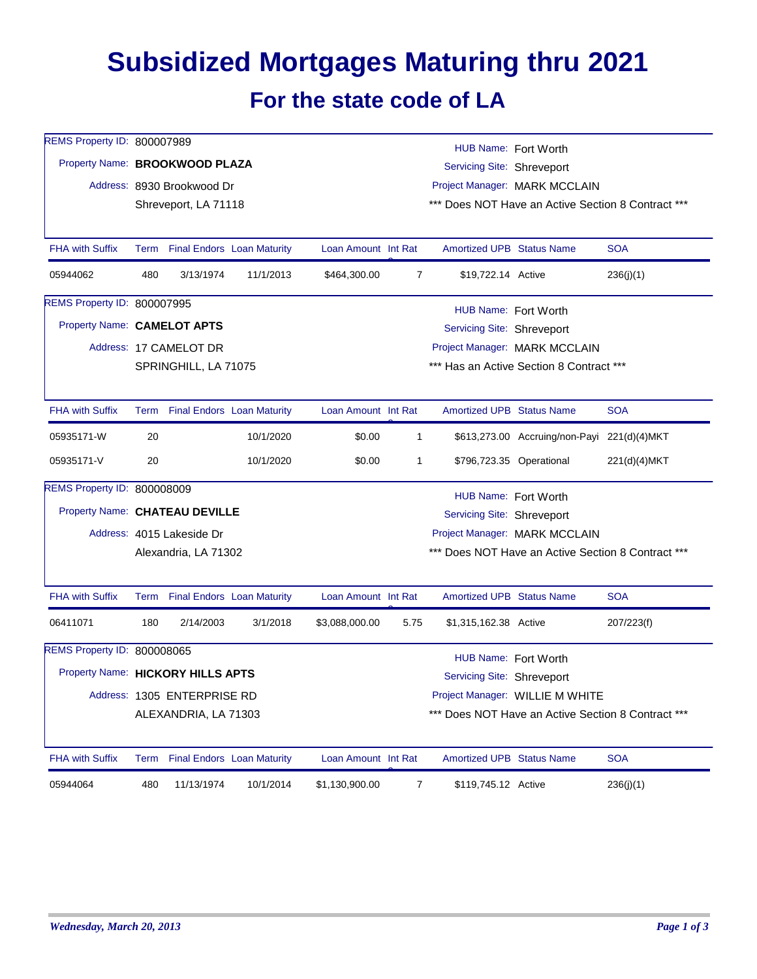## **Subsidized Mortgages Maturing thru 2021 For the state code of LA**

| REMS Property ID: 800007989        | HUB Name: Fort Worth        |                                 |                                   |                            |                                                    |                                                           |                                             |              |  |  |
|------------------------------------|-----------------------------|---------------------------------|-----------------------------------|----------------------------|----------------------------------------------------|-----------------------------------------------------------|---------------------------------------------|--------------|--|--|
| Property Name: BROOKWOOD PLAZA     |                             |                                 |                                   | Servicing Site: Shreveport |                                                    |                                                           |                                             |              |  |  |
|                                    |                             | Address: 8930 Brookwood Dr      |                                   |                            |                                                    | Project Manager: MARK MCCLAIN                             |                                             |              |  |  |
|                                    |                             | Shreveport, LA 71118            |                                   |                            | *** Does NOT Have an Active Section 8 Contract *** |                                                           |                                             |              |  |  |
|                                    |                             |                                 |                                   |                            |                                                    |                                                           |                                             |              |  |  |
| <b>FHA with Suffix</b>             |                             | Term Final Endors Loan Maturity |                                   | Loan Amount Int Rat        |                                                    | Amortized UPB Status Name                                 |                                             | <b>SOA</b>   |  |  |
| 05944062                           | 480                         | 3/13/1974                       | 11/1/2013                         | \$464,300.00               | 7                                                  | \$19,722.14 Active                                        |                                             | 236(j)(1)    |  |  |
| REMS Property ID: 800007995        |                             |                                 |                                   |                            |                                                    |                                                           |                                             |              |  |  |
| Property Name: CAMELOT APTS        |                             |                                 |                                   |                            |                                                    | HUB Name: Fort Worth<br><b>Servicing Site: Shreveport</b> |                                             |              |  |  |
|                                    |                             | Address: 17 CAMELOT DR          |                                   |                            |                                                    |                                                           | Project Manager: MARK MCCLAIN               |              |  |  |
|                                    |                             | SPRINGHILL, LA 71075            |                                   |                            | *** Has an Active Section 8 Contract ***           |                                                           |                                             |              |  |  |
|                                    |                             |                                 |                                   |                            |                                                    |                                                           |                                             |              |  |  |
| <b>FHA with Suffix</b>             |                             | Term Final Endors Loan Maturity |                                   | Loan Amount Int Rat        |                                                    | <b>Amortized UPB Status Name</b>                          |                                             | <b>SOA</b>   |  |  |
| 05935171-W                         | 20                          |                                 | 10/1/2020                         | \$0.00                     | 1                                                  |                                                           | \$613,273.00 Accruing/non-Payi 221(d)(4)MKT |              |  |  |
| 05935171-V                         | 20                          |                                 | 10/1/2020                         | \$0.00                     | 1                                                  |                                                           | \$796,723.35 Operational                    | 221(d)(4)MKT |  |  |
| <b>REMS Property ID: 800008009</b> |                             |                                 |                                   |                            |                                                    | HUB Name: Fort Worth                                      |                                             |              |  |  |
| Property Name: CHATEAU DEVILLE     |                             |                                 |                                   |                            |                                                    | Servicing Site: Shreveport                                |                                             |              |  |  |
|                                    |                             | Address: 4015 Lakeside Dr       |                                   |                            |                                                    | Project Manager: MARK MCCLAIN                             |                                             |              |  |  |
|                                    |                             | Alexandria, LA 71302            |                                   |                            | *** Does NOT Have an Active Section 8 Contract *** |                                                           |                                             |              |  |  |
|                                    |                             |                                 |                                   |                            |                                                    |                                                           |                                             |              |  |  |
| <b>FHA with Suffix</b>             |                             | Term Final Endors Loan Maturity |                                   | Loan Amount Int Rat        |                                                    | <b>Amortized UPB Status Name</b>                          |                                             | <b>SOA</b>   |  |  |
| 06411071                           | 180                         | 2/14/2003                       | 3/1/2018                          | \$3,088,000.00             | 5.75                                               | \$1,315,162.38 Active                                     |                                             | 207/223(f)   |  |  |
| REMS Property ID: 800008065        |                             |                                 |                                   |                            |                                                    | HUB Name: Fort Worth                                      |                                             |              |  |  |
| Property Name: HICKORY HILLS APTS  |                             |                                 |                                   |                            |                                                    | Servicing Site: Shreveport                                |                                             |              |  |  |
|                                    | Address: 1305 ENTERPRISE RD |                                 |                                   |                            |                                                    | Project Manager: WILLIE M WHITE                           |                                             |              |  |  |
|                                    |                             | ALEXANDRIA, LA 71303            |                                   |                            |                                                    | *** Does NOT Have an Active Section 8 Contract ***        |                                             |              |  |  |
| <b>FHA with Suffix</b>             | Term                        |                                 | <b>Final Endors Loan Maturity</b> | Loan Amount Int Rat        |                                                    | <b>Amortized UPB Status Name</b>                          |                                             | <b>SOA</b>   |  |  |
| 05944064                           | 480                         | 11/13/1974                      | 10/1/2014                         | \$1,130,900.00             | $\overline{7}$                                     | \$119,745.12 Active                                       |                                             | 236(j)(1)    |  |  |
|                                    |                             |                                 |                                   |                            |                                                    |                                                           |                                             |              |  |  |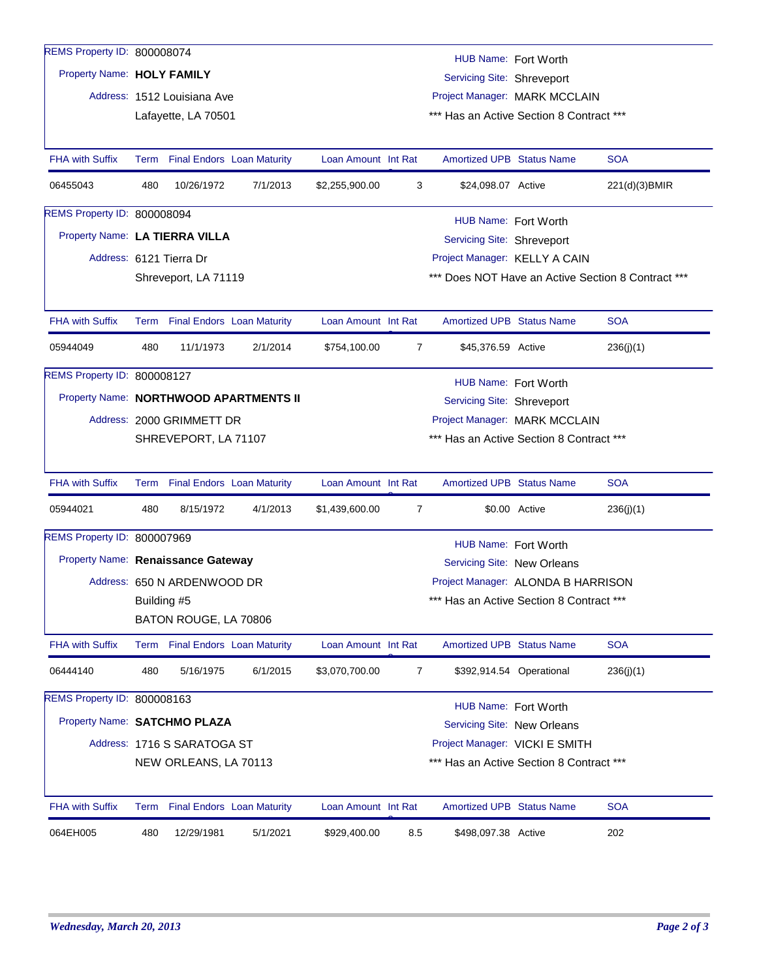| REMS Property ID: 800008074            |                                                                                                                                    |                                 |          |                     |                               |                                                     | HUB Name: Fort Worth     |                                                    |  |
|----------------------------------------|------------------------------------------------------------------------------------------------------------------------------------|---------------------------------|----------|---------------------|-------------------------------|-----------------------------------------------------|--------------------------|----------------------------------------------------|--|
|                                        | Property Name: HOLY FAMILY                                                                                                         |                                 |          |                     |                               | <b>Servicing Site: Shreveport</b>                   |                          |                                                    |  |
|                                        |                                                                                                                                    | Address: 1512 Louisiana Ave     |          |                     | Project Manager: MARK MCCLAIN |                                                     |                          |                                                    |  |
|                                        | *** Has an Active Section 8 Contract ***<br>Lafayette, LA 70501                                                                    |                                 |          |                     |                               |                                                     |                          |                                                    |  |
|                                        |                                                                                                                                    |                                 |          |                     |                               |                                                     |                          |                                                    |  |
| <b>FHA with Suffix</b>                 |                                                                                                                                    | Term Final Endors Loan Maturity |          | Loan Amount Int Rat |                               | <b>Amortized UPB Status Name</b>                    |                          | <b>SOA</b>                                         |  |
| 06455043                               | 480                                                                                                                                | 10/26/1972                      | 7/1/2013 | \$2,255,900.00      | 3                             | \$24,098.07 Active                                  |                          | 221(d)(3)BMIR                                      |  |
| REMS Property ID: 800008094            |                                                                                                                                    |                                 |          |                     |                               |                                                     | HUB Name: Fort Worth     |                                                    |  |
| Property Name: LA TIERRA VILLA         |                                                                                                                                    |                                 |          |                     |                               | Servicing Site: Shreveport                          |                          |                                                    |  |
|                                        |                                                                                                                                    | Address: 6121 Tierra Dr         |          |                     |                               | Project Manager: KELLY A CAIN                       |                          |                                                    |  |
|                                        |                                                                                                                                    | Shreveport, LA 71119            |          |                     |                               |                                                     |                          | *** Does NOT Have an Active Section 8 Contract *** |  |
|                                        |                                                                                                                                    |                                 |          |                     |                               |                                                     |                          |                                                    |  |
| <b>FHA with Suffix</b>                 |                                                                                                                                    | Term Final Endors Loan Maturity |          | Loan Amount Int Rat |                               | Amortized UPB Status Name                           |                          | <b>SOA</b>                                         |  |
| 05944049                               | 480                                                                                                                                | 11/1/1973                       | 2/1/2014 | \$754,100.00        | 7                             | \$45,376.59 Active                                  |                          | 236(j)(1)                                          |  |
| REMS Property ID: 800008127            |                                                                                                                                    |                                 |          |                     |                               | HUB Name: Fort Worth                                |                          |                                                    |  |
| Property Name: NORTHWOOD APARTMENTS II |                                                                                                                                    |                                 |          |                     |                               | Servicing Site: Shreveport                          |                          |                                                    |  |
|                                        | Address: 2000 GRIMMETT DR<br>Project Manager: MARK MCCLAIN                                                                         |                                 |          |                     |                               |                                                     |                          |                                                    |  |
|                                        | *** Has an Active Section 8 Contract ***<br>SHREVEPORT, LA 71107                                                                   |                                 |          |                     |                               |                                                     |                          |                                                    |  |
|                                        |                                                                                                                                    |                                 |          |                     |                               |                                                     |                          |                                                    |  |
| <b>FHA with Suffix</b>                 |                                                                                                                                    | Term Final Endors Loan Maturity |          | Loan Amount Int Rat |                               | <b>Amortized UPB Status Name</b>                    |                          | <b>SOA</b>                                         |  |
| 05944021                               | 480                                                                                                                                | 8/15/1972                       | 4/1/2013 | \$1,439,600.00      | 7                             |                                                     | \$0.00 Active            | 236(j)(1)                                          |  |
| REMS Property ID: 800007969            |                                                                                                                                    |                                 |          |                     |                               | HUB Name: Fort Worth                                |                          |                                                    |  |
| Property Name: Renaissance Gateway     |                                                                                                                                    |                                 |          |                     |                               | Servicing Site: New Orleans                         |                          |                                                    |  |
|                                        | Address: 650 N ARDENWOOD DR                                                                                                        |                                 |          |                     |                               | Project Manager: ALONDA B HARRISON                  |                          |                                                    |  |
|                                        | Building #5                                                                                                                        |                                 |          |                     |                               | *** Has an Active Section 8 Contract ***            |                          |                                                    |  |
|                                        | BATON ROUGE, LA 70806                                                                                                              |                                 |          |                     |                               |                                                     |                          |                                                    |  |
| <b>FHA with Suffix</b>                 |                                                                                                                                    | Term Final Endors Loan Maturity |          | Loan Amount Int Rat |                               | <b>Amortized UPB Status Name</b>                    |                          | <b>SOA</b>                                         |  |
| 06444140                               | 480                                                                                                                                | 5/16/1975                       | 6/1/2015 | \$3,070,700.00      | 7                             |                                                     | \$392,914.54 Operational | 236(i)(1)                                          |  |
| REMS Property ID: 800008163            |                                                                                                                                    |                                 |          |                     |                               |                                                     |                          |                                                    |  |
|                                        | Property Name: SATCHMO PLAZA                                                                                                       |                                 |          |                     |                               | HUB Name: Fort Worth<br>Servicing Site: New Orleans |                          |                                                    |  |
|                                        |                                                                                                                                    |                                 |          |                     |                               |                                                     |                          |                                                    |  |
|                                        | Address: 1716 S SARATOGA ST<br>Project Manager: VICKI E SMITH<br>NEW ORLEANS, LA 70113<br>*** Has an Active Section 8 Contract *** |                                 |          |                     |                               |                                                     |                          |                                                    |  |
|                                        |                                                                                                                                    |                                 |          |                     |                               |                                                     |                          |                                                    |  |
| <b>FHA with Suffix</b>                 |                                                                                                                                    | Term Final Endors Loan Maturity |          | Loan Amount Int Rat |                               | Amortized UPB Status Name                           |                          | <b>SOA</b>                                         |  |
| 064EH005                               | 480                                                                                                                                | 12/29/1981                      | 5/1/2021 | \$929,400.00        | 8.5                           | \$498,097.38 Active                                 |                          | 202                                                |  |